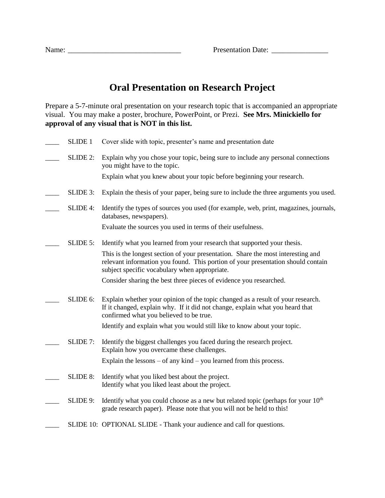| <b>Presentation Date:</b> |  |
|---------------------------|--|
|---------------------------|--|

## **Oral Presentation on Research Project**

Prepare a 5-7-minute oral presentation on your research topic that is accompanied an appropriate visual. You may make a poster, brochure, PowerPoint, or Prezi. **See Mrs. Minickiello for approval of any visual that is NOT in this list.**

| <b>SLIDE 1</b>  | Cover slide with topic, presenter's name and presentation date                                                                                                                                                        |
|-----------------|-----------------------------------------------------------------------------------------------------------------------------------------------------------------------------------------------------------------------|
| SLIDE 2:        | Explain why you chose your topic, being sure to include any personal connections<br>you might have to the topic.                                                                                                      |
|                 | Explain what you knew about your topic before beginning your research.                                                                                                                                                |
| SLIDE 3:        | Explain the thesis of your paper, being sure to include the three arguments you used.                                                                                                                                 |
| SLIDE 4:        | Identify the types of sources you used (for example, web, print, magazines, journals,<br>databases, newspapers).                                                                                                      |
|                 | Evaluate the sources you used in terms of their usefulness.                                                                                                                                                           |
| $SLIDE 5$ :     | Identify what you learned from your research that supported your thesis.                                                                                                                                              |
|                 | This is the longest section of your presentation. Share the most interesting and<br>relevant information you found. This portion of your presentation should contain<br>subject specific vocabulary when appropriate. |
|                 | Consider sharing the best three pieces of evidence you researched.                                                                                                                                                    |
| SLIDE 6:        | Explain whether your opinion of the topic changed as a result of your research.<br>If it changed, explain why. If it did not change, explain what you heard that<br>confirmed what you believed to be true.           |
|                 | Identify and explain what you would still like to know about your topic.                                                                                                                                              |
| SLIDE 7:        | Identify the biggest challenges you faced during the research project.<br>Explain how you overcame these challenges.                                                                                                  |
|                 | Explain the lessons $-$ of any kind $-$ you learned from this process.                                                                                                                                                |
| <b>SLIDE 8:</b> | Identify what you liked best about the project.<br>Identify what you liked least about the project.                                                                                                                   |
| SLIDE 9:        | Identify what you could choose as a new but related topic (perhaps for your 10 <sup>th</sup><br>grade research paper). Please note that you will not be held to this!                                                 |
|                 | SLIDE 10: OPTIONAL SLIDE - Thank your audience and call for questions.                                                                                                                                                |